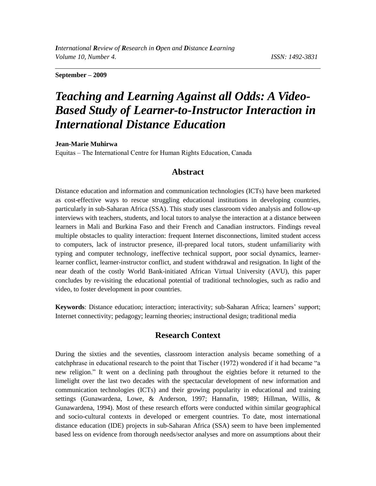#### **September – 2009**

# *Teaching and Learning Against all Odds: A Video-Based Study of Learner-to-Instructor Interaction in International Distance Education*

#### **Jean-Marie Muhirwa**

Equitas – The International Centre for Human Rights Education, Canada

#### **Abstract**

Distance education and information and communication technologies (ICTs) have been marketed as cost-effective ways to rescue struggling educational institutions in developing countries, particularly in sub-Saharan Africa (SSA). This study uses classroom video analysis and follow-up interviews with teachers, students, and local tutors to analyse the interaction at a distance between learners in Mali and Burkina Faso and their French and Canadian instructors. Findings reveal multiple obstacles to quality interaction: frequent Internet disconnections, limited student access to computers, lack of instructor presence, ill-prepared local tutors, student unfamiliarity with typing and computer technology, ineffective technical support, poor social dynamics, learnerlearner conflict, learner-instructor conflict, and student withdrawal and resignation. In light of the near death of the costly World Bank-initiated African Virtual University (AVU), this paper concludes by re-visiting the educational potential of traditional technologies, such as radio and video, to foster development in poor countries.

**Keywords**: Distance education; interaction; interactivity; sub-Saharan Africa; learners' support; Internet connectivity; pedagogy; learning theories; instructional design; traditional media

#### **Research Context**

During the sixties and the seventies, classroom interaction analysis became something of a catchphrase in educational research to the point that Tischer (1972) wondered if it had became "a new religion.‖ It went on a declining path throughout the eighties before it returned to the limelight over the last two decades with the spectacular development of new information and communication technologies (ICTs) and their growing popularity in educational and training settings (Gunawardena, Lowe, & Anderson, 1997; Hannafin, 1989; Hillman, Willis, & Gunawardena, 1994). Most of these research efforts were conducted within similar geographical and socio-cultural contexts in developed or emergent countries. To date, most international distance education (IDE) projects in sub-Saharan Africa (SSA) seem to have been implemented based less on evidence from thorough needs/sector analyses and more on assumptions about their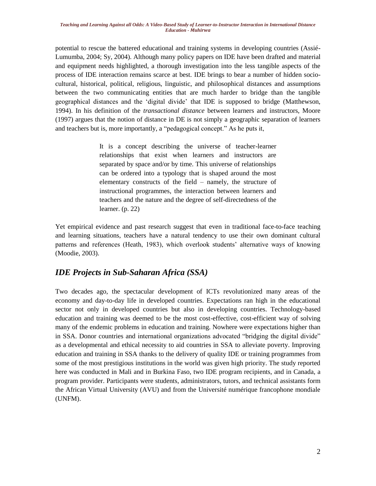potential to rescue the battered educational and training systems in developing countries (Assié-Lumumba, 2004; Sy, 2004). Although many policy papers on IDE have been drafted and material and equipment needs highlighted, a thorough investigation into the less tangible aspects of the process of IDE interaction remains scarce at best. IDE brings to bear a number of hidden sociocultural, historical, political, religious, linguistic, and philosophical distances and assumptions between the two communicating entities that are much harder to bridge than the tangible geographical distances and the ‗digital divide' that IDE is supposed to bridge (Matthewson, 1994). In his definition of the *transactional distance* between learners and instructors, Moore (1997) argues that the notion of distance in DE is not simply a geographic separation of learners and teachers but is, more importantly, a "pedagogical concept." As he puts it,

> It is a concept describing the universe of teacher-learner relationships that exist when learners and instructors are separated by space and/or by time. This universe of relationships can be ordered into a typology that is shaped around the most elementary constructs of the field – namely, the structure of instructional programmes, the interaction between learners and teachers and the nature and the degree of self-directedness of the learner. (p. 22)

Yet empirical evidence and past research suggest that even in traditional face-to-face teaching and learning situations, teachers have a natural tendency to use their own dominant cultural patterns and references (Heath, 1983), which overlook students' alternative ways of knowing (Moodie, 2003).

#### *IDE Projects in Sub-Saharan Africa (SSA)*

Two decades ago, the spectacular development of ICTs revolutionized many areas of the economy and day-to-day life in developed countries. Expectations ran high in the educational sector not only in developed countries but also in developing countries. Technology-based education and training was deemed to be the most cost-effective, cost-efficient way of solving many of the endemic problems in education and training. Nowhere were expectations higher than in SSA. Donor countries and international organizations advocated "bridging the digital divide" as a developmental and ethical necessity to aid countries in SSA to alleviate poverty. Improving education and training in SSA thanks to the delivery of quality IDE or training programmes from some of the most prestigious institutions in the world was given high priority. The study reported here was conducted in Mali and in Burkina Faso, two IDE program recipients, and in Canada, a program provider. Participants were students, administrators, tutors, and technical assistants form the African Virtual University (AVU) and from the Université numérique francophone mondiale (UNFM).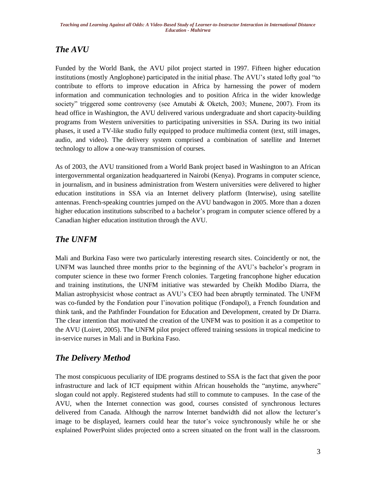# *The AVU*

Funded by the World Bank, the AVU pilot project started in 1997. Fifteen higher education institutions (mostly Anglophone) participated in the initial phase. The AVU's stated lofty goal "to" contribute to efforts to improve education in Africa by harnessing the power of modern information and communication technologies and to position Africa in the wider knowledge society" triggered some controversy (see Amutabi & Oketch, 2003; Munene, 2007). From its head office in Washington, the AVU delivered various undergraduate and short capacity-building programs from Western universities to participating universities in SSA. During its two initial phases, it used a TV-like studio fully equipped to produce multimedia content (text, still images, audio, and video). The delivery system comprised a combination of satellite and Internet technology to allow a one-way transmission of courses.

As of 2003, the AVU transitioned from a World Bank project based in Washington to an African intergovernmental organization headquartered in Nairobi (Kenya). Programs in computer science, in journalism, and in business administration from Western universities were delivered to higher education institutions in SSA via an Internet delivery platform (Interwise), using satellite antennas. French-speaking countries jumped on the AVU bandwagon in 2005. More than a dozen higher education institutions subscribed to a bachelor's program in computer science offered by a Canadian higher education institution through the AVU.

# *The UNFM*

Mali and Burkina Faso were two particularly interesting research sites. Coincidently or not, the UNFM was launched three months prior to the beginning of the AVU's bachelor's program in computer science in these two former French colonies. Targeting francophone higher education and training institutions, the UNFM initiative was stewarded by Cheikh Modibo Diarra, the Malian astrophysicist whose contract as AVU's CEO had been abruptly terminated. The UNFM was co-funded by the Fondation pour l'inovation politique (Fondapol), a French foundation and think tank, and the Pathfinder Foundation for Education and Development, created by Dr Diarra. The clear intention that motivated the creation of the UNFM was to position it as a competitor to the AVU (Loiret, 2005). The UNFM pilot project offered training sessions in tropical medicine to in-service nurses in Mali and in Burkina Faso.

# *The Delivery Method*

The most conspicuous peculiarity of IDE programs destined to SSA is the fact that given the poor infrastructure and lack of ICT equipment within African households the "anytime, anywhere" slogan could not apply. Registered students had still to commute to campuses. In the case of the AVU, when the Internet connection was good, courses consisted of synchronous lectures delivered from Canada. Although the narrow Internet bandwidth did not allow the lecturer's image to be displayed, learners could hear the tutor's voice synchronously while he or she explained PowerPoint slides projected onto a screen situated on the front wall in the classroom.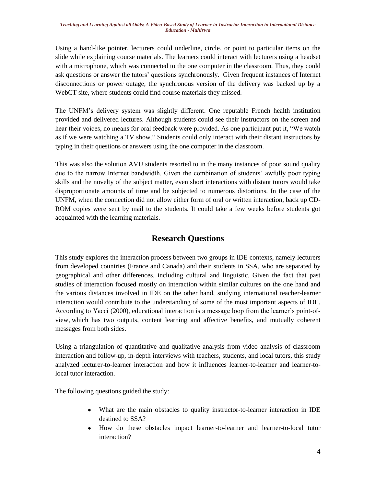Using a hand-like pointer, lecturers could underline, circle, or point to particular items on the slide while explaining course materials. The learners could interact with lecturers using a headset with a microphone, which was connected to the one computer in the classroom. Thus, they could ask questions or answer the tutors' questions synchronously. Given frequent instances of Internet disconnections or power outage, the synchronous version of the delivery was backed up by a WebCT site, where students could find course materials they missed.

The UNFM's delivery system was slightly different. One reputable French health institution provided and delivered lectures. Although students could see their instructors on the screen and hear their voices, no means for oral feedback were provided. As one participant put it, "We watch as if we were watching a TV show." Students could only interact with their distant instructors by typing in their questions or answers using the one computer in the classroom.

This was also the solution AVU students resorted to in the many instances of poor sound quality due to the narrow Internet bandwidth. Given the combination of students' awfully poor typing skills and the novelty of the subject matter, even short interactions with distant tutors would take disproportionate amounts of time and be subjected to numerous distortions. In the case of the UNFM, when the connection did not allow either form of oral or written interaction, back up CD-ROM copies were sent by mail to the students. It could take a few weeks before students got acquainted with the learning materials.

### **Research Questions**

This study explores the interaction process between two groups in IDE contexts, namely lecturers from developed countries (France and Canada) and their students in SSA, who are separated by geographical and other differences, including cultural and linguistic. Given the fact that past studies of interaction focused mostly on interaction within similar cultures on the one hand and the various distances involved in IDE on the other hand, studying international teacher-learner interaction would contribute to the understanding of some of the most important aspects of IDE. According to Yacci (2000), educational interaction is a message loop from the learner's point-ofview, which has two outputs, content learning and affective benefits, and mutually coherent messages from both sides.

Using a triangulation of quantitative and qualitative analysis from video analysis of classroom interaction and follow-up, in-depth interviews with teachers, students, and local tutors, this study analyzed lecturer-to-learner interaction and how it influences learner-to-learner and learner-tolocal tutor interaction.

The following questions guided the study:

- What are the main obstacles to quality instructor-to-learner interaction in IDE destined to SSA?
- How do these obstacles impact learner-to-learner and learner-to-local tutor  $\bullet$ interaction?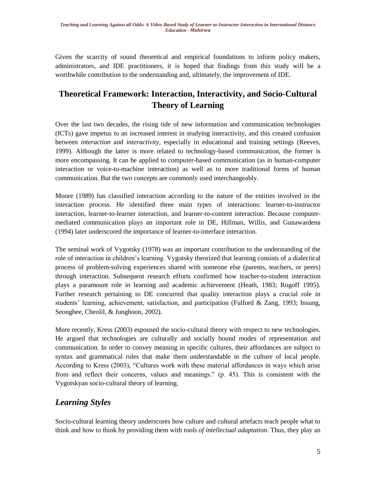Given the scarcity of sound theoretical and empirical foundations to inform policy makers, administrators, and IDE practitioners, it is hoped that findings from this study will be a worthwhile contribution to the understanding and, ultimately, the improvement of IDE.

# **Theoretical Framework: Interaction, Interactivity, and Socio-Cultural Theory of Learning**

Over the last two decades, the rising tide of new information and communication technologies (ICTs) gave impetus to an increased interest in studying interactivity, and this created confusion between *interaction* and *interactivity*, especially in educational and training settings (Reeves, 1999). Although the latter is more related to technology-based communication, the former is more encompassing. It can be applied to computer-based communication (as in human-computer interaction or voice-to-machine interaction) as well as to more traditional forms of human communication. But the two concepts are commonly used interchangeably.

Moore (1989) has classified interaction according to the nature of the entities involved in the interaction process. He identified three main types of interactions: learner-to-instructor interaction, learner-to-learner interaction, and learner-to-content interaction. Because computermediated communication plays an important role in DE, Hillman, Willis, and Gunawardena (1994) later underscored the importance of learner-to-interface interaction.

The seminal work of Vygotsky (1978) was an important contribution to the understanding of the role of interaction in children's learning. Vygotsky theorized that learning consists of a dialectical process of problem-solving experiences shared with someone else (parents, teachers, or peers) through interaction. Subsequent research efforts confirmed how teacher-to-student interaction plays a paramount role in learning and academic achievement (Heath, 1983; Rogoff 1995). Further research pertaining to DE concurred that quality interaction plays a crucial role in students' learning, achievement, satisfaction, and participation (Fulford & Zang, 1993; Insung, Seonghee, Cheolil, & Junghoon, 2002).

More recently, Kress (2003) espoused the socio-cultural theory with respect to new technologies. He argued that technologies are culturally and socially bound modes of representation and communication. In order to convey meaning in specific cultures, their affordances are subject to syntax and grammatical rules that make them understandable in the culture of local people. According to Kress (2003), "Cultures work with these material affordances in ways which arise from and reflect their concerns, values and meanings." (p. 45). This is consistent with the Vygotskyan socio-cultural theory of learning.

# *Learning Styles*

Socio-cultural learning theory underscores how culture and cultural artefacts teach people what to think and how to think by providing them with *tools of intellectual adaptation*. Thus, they play an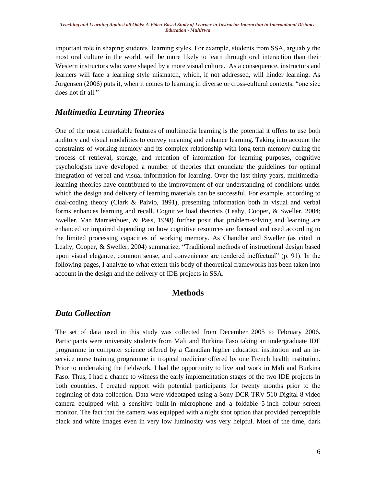important role in shaping students' learning styles. For example, students from SSA, arguably the most oral culture in the world, will be more likely to learn through oral interaction than their Western instructors who were shaped by a more visual culture. As a consequence, instructors and learners will face a learning style mismatch, which, if not addressed, will hinder learning. As Jorgensen (2006) puts it, when it comes to learning in diverse or cross-cultural contexts, "one size does not fit all."

#### *Multimedia Learning Theories*

One of the most remarkable features of multimedia learning is the potential it offers to use both auditory and visual modalities to convey meaning and enhance learning. Taking into account the constraints of working memory and its complex relationship with long-term memory during the process of retrieval, storage, and retention of information for learning purposes, cognitive psychologists have developed a number of theories that enunciate the guidelines for optimal integration of verbal and visual information for learning. Over the last thirty years, multimedialearning theories have contributed to the improvement of our understanding of conditions under which the design and delivery of learning materials can be successful. For example, according to dual-coding theory (Clark & Paivio, 1991), presenting information both in visual and verbal forms enhances learning and recall. Cognitive load theorists (Leahy, Cooper, & Sweller, 2004; Sweller, Van Marriënboer, & Pass, 1998) further posit that problem-solving and learning are enhanced or impaired depending on how cognitive resources are focused and used according to the limited processing capacities of working memory. As Chandler and Sweller (as cited in Leahy, Cooper, & Sweller, 2004) summarize, "Traditional methods of instructional design based upon visual elegance, common sense, and convenience are rendered ineffectual‖ (p. 91). In the following pages, I analyze to what extent this body of theoretical frameworks has been taken into account in the design and the delivery of IDE projects in SSA.

### **Methods**

#### *Data Collection*

The set of data used in this study was collected from December 2005 to February 2006. Participants were university students from Mali and Burkina Faso taking an undergraduate IDE programme in computer science offered by a Canadian higher education institution and an inservice nurse training programme in tropical medicine offered by one French health institution. Prior to undertaking the fieldwork, I had the opportunity to live and work in Mali and Burkina Faso. Thus, I had a chance to witness the early implementation stages of the two IDE projects in both countries. I created rapport with potential participants for twenty months prior to the beginning of data collection. Data were videotaped using a Sony DCR-TRV 510 Digital 8 video camera equipped with a sensitive built-in microphone and a foldable 5-inch colour screen monitor. The fact that the camera was equipped with a night shot option that provided perceptible black and white images even in very low luminosity was very helpful. Most of the time, dark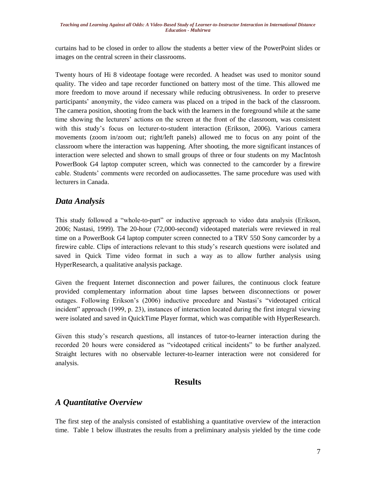curtains had to be closed in order to allow the students a better view of the PowerPoint slides or images on the central screen in their classrooms.

Twenty hours of Hi 8 videotape footage were recorded. A headset was used to monitor sound quality. The video and tape recorder functioned on battery most of the time. This allowed me more freedom to move around if necessary while reducing obtrusiveness. In order to preserve participants' anonymity, the video camera was placed on a tripod in the back of the classroom. The camera position, shooting from the back with the learners in the foreground while at the same time showing the lecturers' actions on the screen at the front of the classroom, was consistent with this study's focus on lecturer-to-student interaction (Erikson, 2006). Various camera movements (zoom in/zoom out; right/left panels) allowed me to focus on any point of the classroom where the interaction was happening. After shooting, the more significant instances of interaction were selected and shown to small groups of three or four students on my MacIntosh PowerBook G4 laptop computer screen, which was connected to the camcorder by a firewire cable. Students' comments were recorded on audiocassettes. The same procedure was used with lecturers in Canada.

### *Data Analysis*

This study followed a "whole-to-part" or inductive approach to video data analysis (Erikson, 2006; Nastasi, 1999). The 20-hour (72,000-second) videotaped materials were reviewed in real time on a PowerBook G4 laptop computer screen connected to a TRV 550 Sony camcorder by a firewire cable. Clips of interactions relevant to this study's research questions were isolated and saved in Quick Time video format in such a way as to allow further analysis using HyperResearch, a qualitative analysis package.

Given the frequent Internet disconnection and power failures, the continuous clock feature provided complementary information about time lapses between disconnections or power outages. Following Erikson's (2006) inductive procedure and Nastasi's "videotaped critical incident" approach (1999, p. 23), instances of interaction located during the first integral viewing were isolated and saved in QuickTime Player format, which was compatible with HyperResearch.

Given this study's research questions, all instances of tutor-to-learner interaction during the recorded 20 hours were considered as "videotaped critical incidents" to be further analyzed. Straight lectures with no observable lecturer-to-learner interaction were not considered for analysis.

### **Results**

### *A Quantitative Overview*

The first step of the analysis consisted of establishing a quantitative overview of the interaction time. Table 1 below illustrates the results from a preliminary analysis yielded by the time code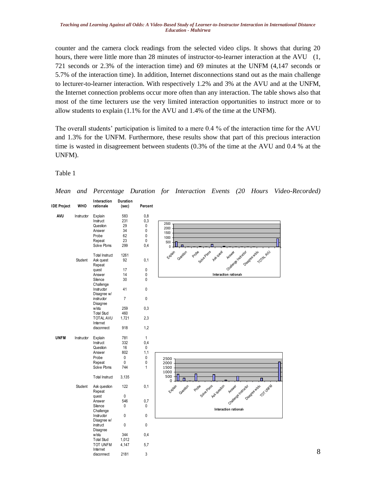counter and the camera clock readings from the selected video clips. It shows that during 20 hours, there were little more than 28 minutes of instructor-to-learner interaction at the AVU (1, 721 seconds or 2.3% of the interaction time) and 69 minutes at the UNFM (4,147 seconds or 5.7% of the interaction time). In addition, Internet disconnections stand out as the main challenge to lecturer-to-learner interaction. With respectively 1.2% and 3% at the AVU and at the UNFM, the Internet connection problems occur more often than any interaction. The table shows also that most of the time lecturers use the very limited interaction opportunities to instruct more or to allow students to explain (1.1% for the AVU and 1.4% of the time at the UNFM).

The overall students' participation is limited to a mere 0.4 % of the interaction time for the AVU and 1.3% for the UNFM. Furthermore, these results show that part of this precious interaction time is wasted in disagreement between students (0.3% of the time at the AVU and 0.4 % at the UNFM).

#### Table 1

| <b>IDE Project</b> | <b>WHO</b> | Interaction<br>rationale     | Duration<br>(sec) | Percent      |                                                           |
|--------------------|------------|------------------------------|-------------------|--------------|-----------------------------------------------------------|
| <b>AVU</b>         | Instructor | Explain                      | 583               | 0,8          |                                                           |
|                    |            | Instruct                     | 231               | 0,3          |                                                           |
|                    |            | Question                     | 29                | 0            | 2500                                                      |
|                    |            | Answer                       | 34                | 0            | 2000                                                      |
|                    |            | Probe                        | 62                | 0            | 1500                                                      |
|                    |            | Repeat                       | 23                | 0            | 1000                                                      |
|                    |            | Solve Pbms                   | 299               |              | 500<br>п                                                  |
|                    |            |                              |                   | 0,4          | 0<br>Citabete Basicutor<br>Disagreewist Tork AV           |
|                    |            | <b>Total Instruct</b>        | 1261              |              | Solvezione<br>Etalain<br>Question<br>Probe<br>Ask quest   |
|                    | Student    | Ask quest                    | 92                | 0,1          |                                                           |
|                    |            | Repeat                       |                   |              |                                                           |
|                    |            | quest                        | 17                | 0            |                                                           |
|                    |            | Answer                       | 14                | 0            | Interaction rational                                      |
|                    |            | Silence                      | 30                | 0            |                                                           |
|                    |            | Challenge                    |                   |              |                                                           |
|                    |            | Instructor                   | 41                | 0            |                                                           |
|                    |            | Disagree w/                  |                   |              |                                                           |
|                    |            | instructor                   | $\overline{7}$    | 0            |                                                           |
|                    |            | Disagree                     |                   |              |                                                           |
|                    |            |                              |                   |              |                                                           |
|                    |            | w/stu                        | 259               | 0,3          |                                                           |
|                    |            | <b>Total Stud</b>            | 460               |              |                                                           |
|                    |            | <b>TOTAL AVU</b><br>Internet | 1,721             | 2,3          |                                                           |
|                    |            | disconnect                   | 918               | 1,2          |                                                           |
| <b>UNFM</b>        | Instructor | Explain                      | 781               | $\mathbf{1}$ |                                                           |
|                    |            | Instruct                     | 332               | 0,4          |                                                           |
|                    |            | Question                     | 16                | 0            |                                                           |
|                    |            | Answer                       | 802               | 1,1          |                                                           |
|                    |            | Probe                        | $\mathbf 0$       | 0            |                                                           |
|                    |            |                              | $\pmb{0}$         | 0            | 2500                                                      |
|                    |            | Repeat                       | 744               |              | 2000                                                      |
|                    |            | Solve Pbms                   |                   | $\mathbf{1}$ | 1500<br>1000                                              |
|                    |            | <b>Total Instruct</b>        | 3,135             |              | 500<br>$\mathbf 0$<br>Craigean Development of United      |
|                    | Student    | Ask question                 | 122               | 0,1          | Probe<br>Ask question<br>Question<br>SolvePons<br>Explain |
|                    |            | Repeat                       | $\mathbf 0$       |              |                                                           |
|                    |            | quest                        |                   |              |                                                           |
|                    |            | Answer                       | 546               | 0,7          |                                                           |
|                    |            | Silence                      | $\pmb{0}$         | 0            | Interaction rationale                                     |
|                    |            | Challenge                    |                   |              |                                                           |
|                    |            | Instructor                   | $\mathbf{0}$      | 0            |                                                           |
|                    |            | Disagree w/                  |                   |              |                                                           |
|                    |            | instruct                     | $\mathbf{0}$      | $\mathbf 0$  |                                                           |
|                    |            | Disagree                     |                   |              |                                                           |
|                    |            | w/stu                        | 344               | 0,4          |                                                           |
|                    |            | <b>Total Stud</b>            | 1,012             |              |                                                           |
|                    |            | TOT UNFM                     | 4,147             | 5,7          |                                                           |
|                    |            | Internet                     |                   |              |                                                           |
|                    |            | disconnect                   | 2181              | 3            |                                                           |
|                    |            |                              |                   |              |                                                           |

*Mean and Percentage Duration for Interaction Events (20 Hours Video-Recorded)*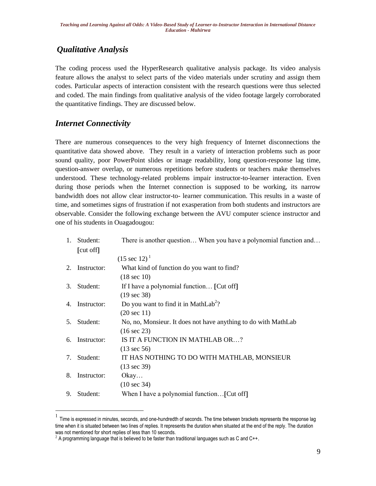### *Qualitative Analysis*

The coding process used the HyperResearch qualitative analysis package. Its video analysis feature allows the analyst to select parts of the video materials under scrutiny and assign them codes. Particular aspects of interaction consistent with the research questions were thus selected and coded. The main findings from qualitative analysis of the video footage largely corroborated the quantitative findings. They are discussed below.

### *Internet Connectivity*

 $\overline{a}$ 

There are numerous consequences to the very high frequency of Internet disconnections the quantitative data showed above. They result in a variety of interaction problems such as poor sound quality, poor PowerPoint slides or image readability, long question-response lag time, question-answer overlap, or numerous repetitions before students or teachers make themselves understood. These technology-related problems impair instructor-to-learner interaction. Even during those periods when the Internet connection is supposed to be working, its narrow bandwidth does not allow clear instructor-to- learner communication. This results in a waste of time, and sometimes signs of frustration if not exasperation from both students and instructors are observable. Consider the following exchange between the AVU computer science instructor and one of his students in Ouagadougou:

| 1. | Student:                        | There is another question When you have a polynomial function and |
|----|---------------------------------|-------------------------------------------------------------------|
|    | $\lceil \cot \text{off} \rceil$ |                                                                   |
|    |                                 | $(15 \text{ sec } 12)^{1}$                                        |
| 2. | Instructor:                     | What kind of function do you want to find?                        |
|    |                                 | $(18 \text{ sec } 10)$                                            |
| 3. | Student:                        | If I have a polynomial function [Cut off]                         |
|    |                                 | $(19 \text{ sec } 38)$                                            |
| 4. | Instructor:                     | Do you want to find it in MathLab <sup>2</sup> ?                  |
|    |                                 | $(20 \text{ sec } 11)$                                            |
| 5. | Student:                        | No, no, Monsieur. It does not have anything to do with MathLab    |
|    |                                 | $(16 \text{ sec } 23)$                                            |
| 6. | Instructor:                     | IS IT A FUNCTION IN MATHLAB OR?                                   |
|    |                                 | $(13 \text{ sec } 56)$                                            |
| 7. | Student:                        | IT HAS NOTHING TO DO WITH MATHLAB, MONSIEUR                       |
|    |                                 | $(13 \text{ sec } 39)$                                            |
| 8. | Instructor:                     | $O$ kay                                                           |
|    |                                 | $(10 \text{ sec } 34)$                                            |
| 9. | Student:                        | When I have a polynomial function [Cut off]                       |

<sup>1</sup> Time is expressed in minutes, seconds, and one-hundredth of seconds. The time between brackets represents the response lag time when it is situated between two lines of replies. It represents the duration when situated at the end of the reply. The duration was not mentioned for short replies of less than 10 seconds.

<sup>&</sup>lt;sup>2</sup> A programming language that is believed to be faster than traditional languages such as C and C++.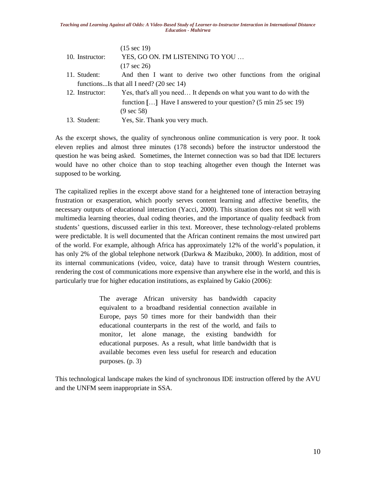|                                                                                        | $(15 \text{ sec } 19)$                                                              |
|----------------------------------------------------------------------------------------|-------------------------------------------------------------------------------------|
| 10. Instructor:                                                                        | YES, GO ON. I'M LISTENING TO YOU                                                    |
|                                                                                        | $(17 \text{ sec } 26)$                                                              |
| 11. Student:                                                                           | And then I want to derive two other functions from the original                     |
|                                                                                        | functionsIs that all I need? (20 sec 14)                                            |
| Yes, that's all you need It depends on what you want to do with the<br>12. Instructor: |                                                                                     |
|                                                                                        | function [] Have I answered to your question? $(5 \text{ min } 25 \text{ sec } 19)$ |
|                                                                                        | $(9 \text{ sec } 58)$                                                               |
| 13. Student:                                                                           | Yes, Sir. Thank you very much.                                                      |

As the excerpt shows, the quality of synchronous online communication is very poor. It took eleven replies and almost three minutes (178 seconds) before the instructor understood the question he was being asked. Sometimes, the Internet connection was so bad that IDE lecturers would have no other choice than to stop teaching altogether even though the Internet was supposed to be working.

The capitalized replies in the excerpt above stand for a heightened tone of interaction betraying frustration or exasperation, which poorly serves content learning and affective benefits, the necessary outputs of educational interaction (Yacci, 2000). This situation does not sit well with multimedia learning theories, dual coding theories, and the importance of quality feedback from students' questions, discussed earlier in this text. Moreover, these technology-related problems were predictable. It is well documented that the African continent remains the most unwired part of the world. For example, although Africa has approximately 12% of the world's population, it has only 2% of the global telephone network (Darkwa & Mazibuko, 2000). In addition, most of its internal communications (video, voice, data) have to transit through Western countries, rendering the cost of communications more expensive than anywhere else in the world, and this is particularly true for higher education institutions, as explained by Gakio (2006):

> The average African university has bandwidth capacity equivalent to a broadband residential connection available in Europe, pays 50 times more for their bandwidth than their educational counterparts in the rest of the world, and fails to monitor, let alone manage, the existing bandwidth for educational purposes. As a result, what little bandwidth that is available becomes even less useful for research and education purposes. (p. 3)

This technological landscape makes the kind of synchronous IDE instruction offered by the AVU and the UNFM seem inappropriate in SSA.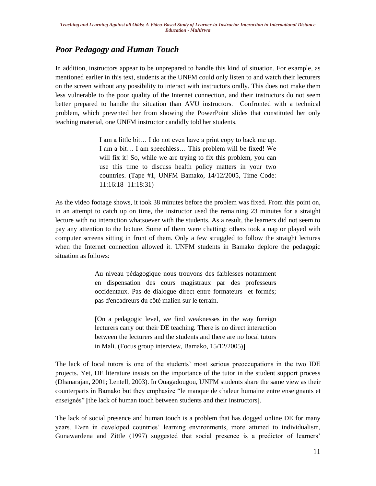### *Poor Pedagogy and Human Touch*

In addition, instructors appear to be unprepared to handle this kind of situation. For example, as mentioned earlier in this text, students at the UNFM could only listen to and watch their lecturers on the screen without any possibility to interact with instructors orally. This does not make them less vulnerable to the poor quality of the Internet connection, and their instructors do not seem better prepared to handle the situation than AVU instructors. Confronted with a technical problem, which prevented her from showing the PowerPoint slides that constituted her only teaching material, one UNFM instructor candidly told her students,

> I am a little bit… I do not even have a print copy to back me up. I am a bit… I am speechless… This problem will be fixed! We will fix it! So, while we are trying to fix this problem, you can use this time to discuss health policy matters in your two countries. (Tape #1, UNFM Bamako, 14/12/2005, Time Code: 11:16:18 -11:18:31)

As the video footage shows, it took 38 minutes before the problem was fixed. From this point on, in an attempt to catch up on time, the instructor used the remaining 23 minutes for a straight lecture with no interaction whatsoever with the students. As a result, the learners did not seem to pay any attention to the lecture. Some of them were chatting; others took a nap or played with computer screens sitting in front of them. Only a few struggled to follow the straight lectures when the Internet connection allowed it. UNFM students in Bamako deplore the pedagogic situation as follows:

> Au niveau pédagogique nous trouvons des faiblesses notamment en dispensation des cours magistraux par des professeurs occidentaux. Pas de dialogue direct entre formateurs et formés; pas d'encadreurs du côté malien sur le terrain.

> On a pedagogic level, we find weaknesses in the way foreign lecturers carry out their DE teaching. There is no direct interaction between the lecturers and the students and there are no local tutors in Mali. (Focus group interview, Bamako, 15/12/2005)

The lack of local tutors is one of the students' most serious preoccupations in the two IDE projects. Yet, DE literature insists on the importance of the tutor in the student support process (Dhanarajan, 2001; Lentell, 2003). In Ouagadougou, UNFM students share the same view as their counterparts in Bamako but they emphasize "le manque de chaleur humaine entre enseignants et enseignés" [the lack of human touch between students and their instructors].

The lack of social presence and human touch is a problem that has dogged online DE for many years. Even in developed countries' learning environments, more attuned to individualism, Gunawardena and Zittle (1997) suggested that social presence is a predictor of learners'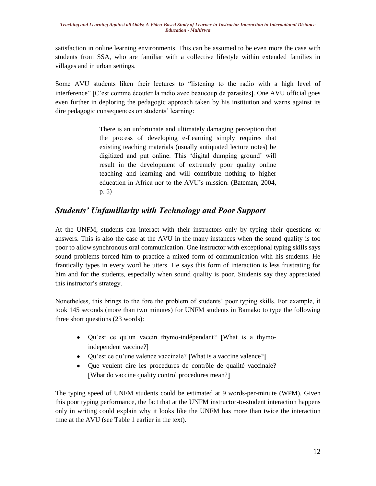satisfaction in online learning environments. This can be assumed to be even more the case with students from SSA, who are familiar with a collective lifestyle within extended families in villages and in urban settings.

Some AVU students liken their lectures to "listening to the radio with a high level of interference" [C'est comme écouter la radio avec beaucoup de parasites]. One AVU official goes even further in deploring the pedagogic approach taken by his institution and warns against its dire pedagogic consequences on students' learning:

> There is an unfortunate and ultimately damaging perception that the process of developing e-Learning simply requires that existing teaching materials (usually antiquated lecture notes) be digitized and put online. This 'digital dumping ground' will result in the development of extremely poor quality online teaching and learning and will contribute nothing to higher education in Africa nor to the AVU's mission. (Bateman, 2004, p. 5)

# *Students' Unfamiliarity with Technology and Poor Support*

At the UNFM, students can interact with their instructors only by typing their questions or answers. This is also the case at the AVU in the many instances when the sound quality is too poor to allow synchronous oral communication. One instructor with exceptional typing skills says sound problems forced him to practice a mixed form of communication with his students. He frantically types in every word he utters. He says this form of interaction is less frustrating for him and for the students, especially when sound quality is poor. Students say they appreciated this instructor's strategy.

Nonetheless, this brings to the fore the problem of students' poor typing skills. For example, it took 145 seconds (more than two minutes) for UNFM students in Bamako to type the following three short questions (23 words):

- Qu'est ce qu'un vaccin thymo-indépendant? What is a thymoindependent vaccine?
- Qu'est ce qu'une valence vaccinale? [What is a vaccine valence?]
- Que veulent dire les procedures de contrôle de qualité vaccinale? [What do vaccine quality control procedures mean?]

The typing speed of UNFM students could be estimated at 9 words-per-minute (WPM). Given this poor typing performance, the fact that at the UNFM instructor-to-student interaction happens only in writing could explain why it looks like the UNFM has more than twice the interaction time at the AVU (see Table 1 earlier in the text).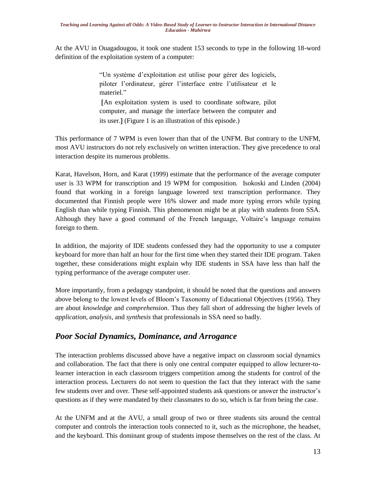At the AVU in Ouagadougou, it took one student 153 seconds to type in the following 18-word definition of the exploitation system of a computer:

> ―Un système d'exploitation est utilise pour gérer des logiciels, piloter l'ordinateur, gérer l'interface entre l'utilisateur et le materiel."

> An exploitation system is used to coordinate software, pilot computer, and manage the interface between the computer and its user.] (Figure 1 is an illustration of this episode.)

This performance of 7 WPM is even lower than that of the UNFM. But contrary to the UNFM, most AVU instructors do not rely exclusively on written interaction. They give precedence to oral interaction despite its numerous problems.

Karat, Havelson, Horn, and Karat (1999) estimate that the performance of the average computer user is 33 WPM for transcription and 19 WPM for composition. Isokoski and Linden (2004) found that working in a foreign language lowered text transcription performance. They documented that Finnish people were 16% slower and made more typing errors while typing English than while typing Finnish. This phenomenon might be at play with students from SSA. Although they have a good command of the French language, Voltaire's language remains foreign to them.

In addition, the majority of IDE students confessed they had the opportunity to use a computer keyboard for more than half an hour for the first time when they started their IDE program. Taken together, these considerations might explain why IDE students in SSA have less than half the typing performance of the average computer user.

More importantly, from a pedagogy standpoint, it should be noted that the questions and answers above belong to the lowest levels of Bloom's Taxonomy of Educational Objectives (1956). They are about *knowledge* and *comprehension*. Thus they fall short of addressing the higher levels of *application*, *analysis,* and *synthesis* that professionals in SSA need so badly.

# *Poor Social Dynamics, Dominance, and Arrogance*

The interaction problems discussed above have a negative impact on classroom social dynamics and collaboration. The fact that there is only one central computer equipped to allow lecturer-tolearner interaction in each classroom triggers competition among the students for control of the interaction process. Lecturers do not seem to question the fact that they interact with the same few students over and over. These self-appointed students ask questions or answer the instructor's questions as if they were mandated by their classmates to do so, which is far from being the case.

At the UNFM and at the AVU, a small group of two or three students sits around the central computer and controls the interaction tools connected to it, such as the microphone, the headset, and the keyboard. This dominant group of students impose themselves on the rest of the class. At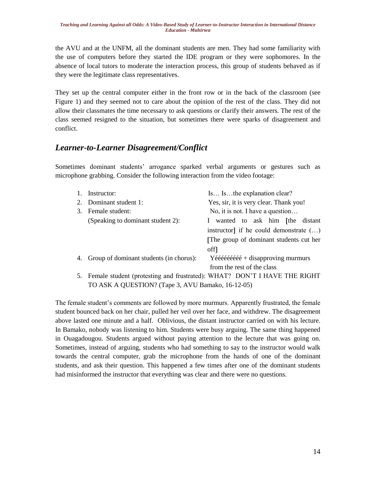the AVU and at the UNFM, all the dominant students are men. They had some familiarity with the use of computers before they started the IDE program or they were sophomores. In the absence of local tutors to moderate the interaction process, this group of students behaved as if they were the legitimate class representatives.

They set up the central computer either in the front row or in the back of the classroom (see Figure 1) and they seemed not to care about the opinion of the rest of the class. They did not allow their classmates the time necessary to ask questions or clarify their answers. The rest of the class seemed resigned to the situation, but sometimes there were sparks of disagreement and conflict.

### *Learner-to-Learner Disagreement/Conflict*

Sometimes dominant students' arrogance sparked verbal arguments or gestures such as microphone grabbing. Consider the following interaction from the video footage:

|    | Instructor:                                                                 | Is Is the explanation clear?                     |
|----|-----------------------------------------------------------------------------|--------------------------------------------------|
|    | 2. Dominant student 1:                                                      | Yes, sir, it is very clear. Thank you!           |
| 3. | Female student:                                                             | No, it is not. I have a question                 |
|    | (Speaking to dominant student 2):                                           | wanted to ask him [the distant<br>$\mathbf{I}$   |
|    |                                                                             | instructor] if he could demonstrate $(\ldots)$   |
|    |                                                                             | The group of dominant students cut her           |
|    |                                                                             | off                                              |
|    | 4. Group of dominant students (in chorus):                                  | Yéééééééé $\leftrightarrow$ disapproving murmurs |
|    |                                                                             | from the rest of the class                       |
|    | 5. Female student (protesting and frustrated): WHAT? DON'T I HAVE THE RIGHT |                                                  |

TO ASK A QUESTION? (Tape 3, AVU Bamako, 16-12-05)

The female student's comments are followed by more murmurs. Apparently frustrated, the female student bounced back on her chair, pulled her veil over her face, and withdrew. The disagreement above lasted one minute and a half. Oblivious, the distant instructor carried on with his lecture. In Bamako, nobody was listening to him. Students were busy arguing. The same thing happened in Ouagadougou. Students argued without paying attention to the lecture that was going on. Sometimes, instead of arguing, students who had something to say to the instructor would walk towards the central computer, grab the microphone from the hands of one of the dominant students, and ask their question. This happened a few times after one of the dominant students had misinformed the instructor that everything was clear and there were no questions.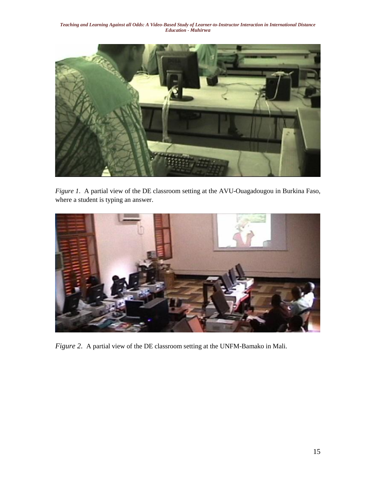

*Figure 1*. A partial view of the DE classroom setting at the AVU-Ouagadougou in Burkina Faso, where a student is typing an answer.



*Figure 2*. A partial view of the DE classroom setting at the UNFM-Bamako in Mali.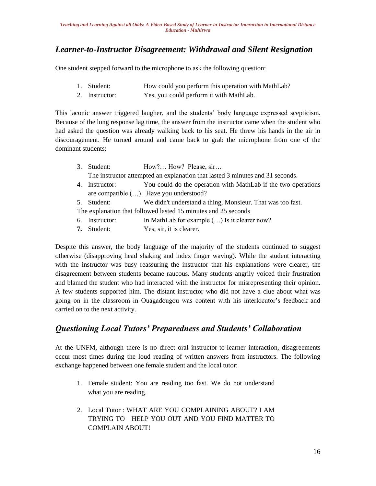#### *Learner-to-Instructor Disagreement: Withdrawal and Silent Resignation*

One student stepped forward to the microphone to ask the following question:

- 1. Student: How could you perform this operation with MathLab?
- 2. Instructor: Yes, you could perform it with MathLab.

This laconic answer triggered laugher, and the students' body language expressed scepticism. Because of the long response lag time, the answer from the instructor came when the student who had asked the question was already walking back to his seat. He threw his hands in the air in discouragement. He turned around and came back to grab the microphone from one of the dominant students:

- 3. Student: How?… How? Please, sir… The instructor attempted an explanation that lasted 3 minutes and 31 seconds. 4. Instructor: You could do the operation with MathLab if the two operations are compatible (…) Have you understood? 5. Student: We didn't understand a thing, Monsieur. That was too fast. The explanation that followed lasted 15 minutes and 25 seconds 6. Instructor: In MathLab for example (…) Is it clearer now?
- **7.** Student: Yes, sir, it is clearer.

Despite this answer, the body language of the majority of the students continued to suggest otherwise (disapproving head shaking and index finger waving). While the student interacting with the instructor was busy reassuring the instructor that his explanations were clearer, the disagreement between students became raucous. Many students angrily voiced their frustration and blamed the student who had interacted with the instructor for misrepresenting their opinion. A few students supported him. The distant instructor who did not have a clue about what was going on in the classroom in Ouagadougou was content with his interlocutor's feedback and carried on to the next activity.

### *Questioning Local Tutors' Preparedness and Students' Collaboration*

At the UNFM, although there is no direct oral instructor-to-learner interaction, disagreements occur most times during the loud reading of written answers from instructors. The following exchange happened between one female student and the local tutor:

- 1. Female student: You are reading too fast. We do not understand what you are reading.
- 2. Local Tutor : WHAT ARE YOU COMPLAINING ABOUT? I AM TRYING TO HELP YOU OUT AND YOU FIND MATTER TO COMPLAIN ABOUT!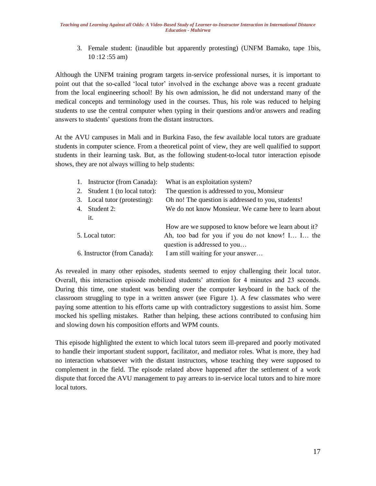3. Female student: (inaudible but apparently protesting) (UNFM Bamako, tape 1bis, 10 :12 :55 am)

Although the UNFM training program targets in-service professional nurses, it is important to point out that the so-called ‗local tutor' involved in the exchange above was a recent graduate from the local engineering school! By his own admission, he did not understand many of the medical concepts and terminology used in the courses. Thus, his role was reduced to helping students to use the central computer when typing in their questions and/or answers and reading answers to students' questions from the distant instructors.

At the AVU campuses in Mali and in Burkina Faso, the few available local tutors are graduate students in computer science. From a theoretical point of view, they are well qualified to support students in their learning task. But, as the following student-to-local tutor interaction episode shows, they are not always willing to help students:

|                              | 1. Instructor (from Canada):   | What is an exploitation system?                       |
|------------------------------|--------------------------------|-------------------------------------------------------|
|                              | 2. Student 1 (to local tutor): | The question is addressed to you, Monsieur            |
|                              | 3. Local tutor (protesting):   | Oh no! The question is addressed to you, students!    |
|                              | 4. Student 2:                  | We do not know Monsieur. We came here to learn about  |
|                              | it.                            |                                                       |
|                              |                                | How are we supposed to know before we learn about it? |
| 5. Local tutor:              |                                | Ah, too bad for you if you do not know! I I the       |
|                              |                                | question is addressed to you                          |
| 6. Instructor (from Canada): |                                | I am still waiting for your answer                    |

As revealed in many other episodes, students seemed to enjoy challenging their local tutor. Overall, this interaction episode mobilized students' attention for 4 minutes and 23 seconds. During this time, one student was bending over the computer keyboard in the back of the classroom struggling to type in a written answer (see Figure 1). A few classmates who were paying some attention to his efforts came up with contradictory suggestions to assist him. Some mocked his spelling mistakes. Rather than helping, these actions contributed to confusing him and slowing down his composition efforts and WPM counts.

This episode highlighted the extent to which local tutors seem ill-prepared and poorly motivated to handle their important student support, facilitator, and mediator roles. What is more, they had no interaction whatsoever with the distant instructors, whose teaching they were supposed to complement in the field. The episode related above happened after the settlement of a work dispute that forced the AVU management to pay arrears to in-service local tutors and to hire more local tutors.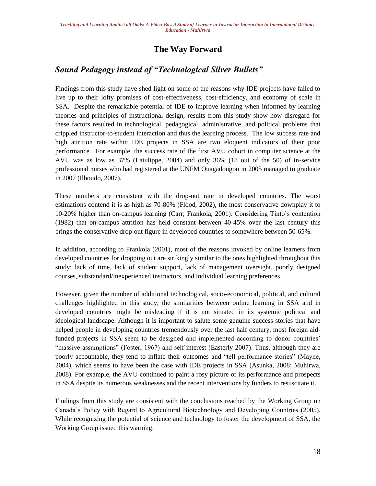# **The Way Forward**

## *Sound Pedagogy instead of "Technological Silver Bullets"*

Findings from this study have shed light on some of the reasons why IDE projects have failed to live up to their lofty promises of cost-effectiveness, cost-efficiency, and economy of scale in SSA. Despite the remarkable potential of IDE to improve learning when informed by learning theories and principles of instructional design, results from this study show how disregard for these factors resulted in technological, pedagogical, administrative, and political problems that crippled instructor-to-student interaction and thus the learning process. The low success rate and high attrition rate within IDE projects in SSA are two eloquent indicators of their poor performance. For example, the success rate of the first AVU cohort in computer science at the AVU was as low as 37% (Latulippe, 2004) and only 36% (18 out of the 50) of in-service professional nurses who had registered at the UNFM Ouagadougou in 2005 managed to graduate in 2007 (Ilboudo, 2007).

These numbers are consistent with the drop-out rate in developed countries. The worst estimations contend it is as high as 70-80% (Flood, 2002), the most conservative downplay it to 10-20% higher than on-campus learning (Carr; Frankola, 2001). Considering Tinto's contention (1982) that on-campus attrition has held constant between 40-45% over the last century this brings the conservative drop-out figure in developed countries to somewhere between 50-65%.

In addition, according to Frankola (2001), most of the reasons invoked by online learners from developed countries for dropping out are strikingly similar to the ones highlighted throughout this study: lack of time, lack of student support, lack of management oversight, poorly designed courses, substandard/inexperienced instructors, and individual learning preferences.

However, given the number of additional technological, socio-economical, political, and cultural challenges highlighted in this study, the similarities between online learning in SSA and in developed countries might be misleading if it is not situated in its systemic political and ideological landscape. Although it is important to salute some genuine success stories that have helped people in developing countries tremendously over the last half century, most foreign aidfunded projects in SSA seem to be designed and implemented according to donor countries' "massive assumptions" (Foster, 1967) and self-interest (Easterly 2007). Thus, although they are poorly accountable, they tend to inflate their outcomes and "tell performance stories" (Mayne, 2004), which seems to have been the case with IDE projects in SSA (Asunka, 2008; Muhirwa, 2008). For example, the AVU continued to paint a rosy picture of its performance and prospects in SSA despite its numerous weaknesses and the recent interventions by funders to resuscitate it.

Findings from this study are consistent with the conclusions reached by the Working Group on Canada's Policy with Regard to Agricultural Biotechnology and Developing Countries (2005). While recognizing the potential of science and technology to foster the development of SSA, the Working Group issued this warning: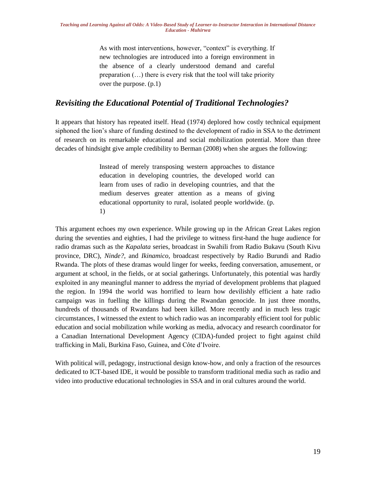As with most interventions, however, "context" is everything. If new technologies are introduced into a foreign environment in the absence of a clearly understood demand and careful preparation (…) there is every risk that the tool will take priority over the purpose. (p.1)

#### *Revisiting the Educational Potential of Traditional Technologies?*

It appears that history has repeated itself. Head (1974) deplored how costly technical equipment siphoned the lion's share of funding destined to the development of radio in SSA to the detriment of research on its remarkable educational and social mobilization potential. More than three decades of hindsight give ample credibility to Berman (2008) when she argues the following:

> Instead of merely transposing western approaches to distance education in developing countries, the developed world can learn from uses of radio in developing countries, and that the medium deserves greater attention as a means of giving educational opportunity to rural, isolated people worldwide. (p. 1)

This argument echoes my own experience. While growing up in the African Great Lakes region during the seventies and eighties, I had the privilege to witness first-hand the huge audience for radio dramas such as the *Kapalata* series, broadcast in Swahili from Radio Bukavu (South Kivu province, DRC), *Ninde?,* and *Ikinamico,* broadcast respectively by Radio Burundi and Radio Rwanda. The plots of these dramas would linger for weeks, feeding conversation, amusement, or argument at school, in the fields, or at social gatherings. Unfortunately, this potential was hardly exploited in any meaningful manner to address the myriad of development problems that plagued the region. In 1994 the world was horrified to learn how devilishly efficient a hate radio campaign was in fuelling the killings during the Rwandan genocide. In just three months, hundreds of thousands of Rwandans had been killed. More recently and in much less tragic circumstances, I witnessed the extent to which radio was an incomparably efficient tool for public education and social mobilization while working as media, advocacy and research coordinator for a Canadian International Development Agency (CIDA)-funded project to fight against child trafficking in Mali, Burkina Faso, Guinea, and Côte d'Ivoire.

With political will, pedagogy, instructional design know-how, and only a fraction of the resources dedicated to ICT-based IDE, it would be possible to transform traditional media such as radio and video into productive educational technologies in SSA and in oral cultures around the world.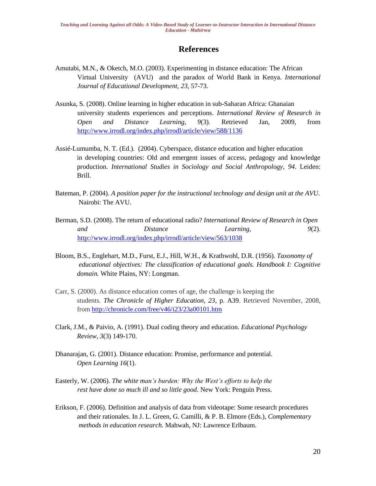#### **References**

- Amutabi, M.N., & Oketch, M.O. (2003). Experimenting in distance education: The African Virtual University (AVU) and the paradox of World Bank in Kenya. *International Journal of Educational Development, 23*, 57-73.
- Asunka, S. (2008). Online learning in higher education in sub-Saharan Africa: Ghanaian university students experiences and perceptions. *International Review of Research in Open and Distance Learning*, *9*(3). Retrieved Jan, 2009, from <http://www.irrodl.org/index.php/irrodl/article/view/588/1136>
- Assié-Lumumba, N. T. (Ed.). (2004). Cyberspace, distance education and higher education in developing countries: Old and emergent issues of access, pedagogy and knowledge production. *International Studies in Sociology and Social Anthropology, 94*. Leiden: Brill.
- Bateman, P. (2004). *A position paper for the instructional technology and design unit at the AVU*. Nairobi: The AVU.
- Berman, S.D. (2008). The return of educational radio? *International Review of Research in Open and Distance Learning*, *9*(2). <http://www.irrodl.org/index.php/irrodl/article/view/563/1038>
- Bloom, B.S., Englehart, M.D., Furst, E.J., Hill, W.H., & Krathwohl, D.R. (1956). *Taxonomy of educational objectives: The classification of educational goals. Handbook I: Cognitive domain.* White Plains, NY: Longman.
- Carr, S. (2000). As distance education comes of age, the challenge is keeping the students. *The Chronicle of Higher Education, 23*, p. A39. Retrieved November, 2008, from<http://chronicle.com/free/v46/i23/23a00101.htm>
- Clark, J.M., & Paivio, A. (1991). Dual coding theory and education. *Educational Psychology Review*, *3*(3) 149-170.
- Dhanarajan, G. (2001). Distance education: Promise, performance and potential. *Open Learning 16*(1).
- Easterly, W. (2006). *The white man's burden: Why the West's efforts to help the rest have done so much ill and so little good*. New York: Penguin Press.
- Erikson, F. (2006). Definition and analysis of data from videotape: Some research procedures and their rationales. In J. L. Green, G. Camilli, & P. B. Elmore (Eds.), *Complementary methods in education research.* Mahwah, NJ: Lawrence Erlbaum.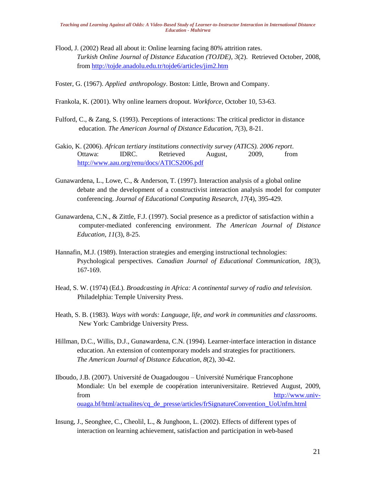- Flood, J. (2002) Read all about it: Online learning facing 80% attrition rates. *Turkish Online Journal of Distance Education (TOJDE)*, *3*(2). Retrieved October, 2008, from <http://tojde.anadolu.edu.tr/tojde6/articles/jim2.htm>
- Foster, G. (1967). *Applied anthropology*. Boston: Little, Brown and Company.
- Frankola, K. (2001). Why online learners dropout. *Workforce,* October 10*,* 53-63.
- Fulford, C., & Zang, S. (1993). Perceptions of interactions: The critical predictor in distance education. *The American Journal of Distance Education*, *7*(3), 8-21.
- Gakio, K. (2006). *African tertiary institutions connectivity survey (ATICS). 2006 report*. Ottawa: IDRC. Retrieved August, 2009, from <http://www.aau.org/renu/docs/ATICS2006.pdf>
- Gunawardena, L., Lowe, C., & Anderson, T. (1997). Interaction analysis of a global online debate and the development of a constructivist interaction analysis model for computer conferencing. *Journal of Educational Computing Research*, *17*(4), 395-429.
- Gunawardena, C.N., & Zittle, F.J. (1997). Social presence as a predictor of satisfaction within a computer-mediated conferencing environment. *The American Journal of Distance Education*, *11*(3), 8-25.
- Hannafin, M.J. (1989). Interaction strategies and emerging instructional technologies: Psychological perspectives. *Canadian Journal of Educational Communication, 18*(3), 167-169.
- Head, S. W. (1974) (Ed.). *Broadcasting in Africa: A continental survey of radio and television.*  Philadelphia: Temple University Press.
- Heath, S. B. (1983). *Ways with words: Language, life, and work in communities and classrooms.* New York: Cambridge University Press.
- Hillman, D.C., Willis, D.J., Gunawardena, C.N. (1994). Learner-interface interaction in distance education. An extension of contemporary models and strategies for practitioners. *The American Journal of Distance Education*, *8*(2), 30-42.
- Ilboudo, J.B. (2007). Université de Ouagadougou Université Numérique Francophone Mondiale: Un bel exemple de coopération interuniversitaire. Retrieved August, 2009, from [http://www.univ](http://www.univ-ouaga.bf/html/actualites/cq_de_presse/articles/frSignatureConvention_UoUnfm.html)[ouaga.bf/html/actualites/cq\\_de\\_presse/articles/frSignatureConvention\\_UoUnfm.html](http://www.univ-ouaga.bf/html/actualites/cq_de_presse/articles/frSignatureConvention_UoUnfm.html)
- Insung, J., Seonghee, C., Cheolil, L., & Junghoon, L. (2002). Effects of different types of interaction on learning achievement, satisfaction and participation in web-based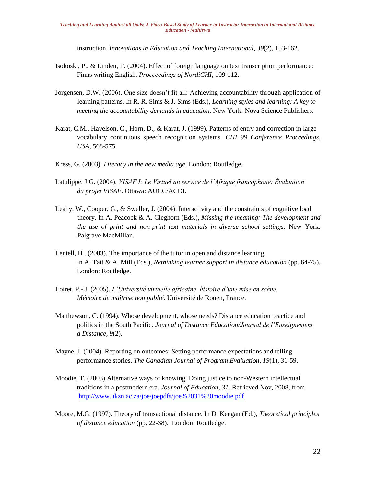instruction. *Innovations in Education and Teaching International*, *39*(2), 153-162.

- Isokoski, P., & Linden, T. (2004). Effect of foreign language on text transcription performance: Finns writing English. *Procceedings of NordiCHI*, 109-112.
- Jorgensen, D.W. (2006). One size doesn't fit all: Achieving accountability through application of learning patterns. In R. R. Sims & J. Sims (Eds.), *Learning styles and learning: A key to meeting the accountability demands in education*. New York: Nova Science Publishers.
- Karat, C.M., Havelson, C., Horn, D., & Karat, J. (1999). Patterns of entry and correction in large vocabulary continuous speech recognition systems. *CHI 99 Conference Proceedings, USA,* 568-575.
- Kress, G. (2003). *Literacy in the new media age*. London: Routledge.
- Latulippe, J.G. (2004). *VISAF I: Le Virtuel au service de l'Afrique francophone: Évaluation du projet VISAF*. Ottawa: AUCC/ACDI.
- Leahy, W., Cooper, G., & Sweller, J. (2004). Interactivity and the constraints of cognitive load theory. In A. Peacock & A. Cleghorn (Eds.), *Missing the meaning: The development and the use of print and non-print text materials in diverse school settings.* New York: Palgrave MacMillan.
- Lentell, H . (2003). The importance of the tutor in open and distance learning. In A. Tait & A. Mill (Eds.), *Rethinking learner support in distance education* (pp. 64-75)*.* London: Routledge.
- Loiret, P.- J. (2005). *L'Université virtuelle africaine, histoire d'une mise en scène. Mémoire de maîtrise non publié*. Université de Rouen, France.
- Matthewson, C. (1994). Whose development, whose needs? Distance education practice and politics in the South Pacific. *Journal of Distance Education/Journal de l'Enseignement à Distance, 9*(2).
- Mayne, J. (2004). Reporting on outcomes: Setting performance expectations and telling performance stories. *The Canadian Journal of Program Evaluation*, *19*(1), 31-59.
- Moodie, T. (2003) Alternative ways of knowing. Doing justice to non-Western intellectual traditions in a postmodern era. *Journal of Education*, *31*. Retrieved Nov, 2008, from <http://www.ukzn.ac.za/joe/joepdfs/joe%2031%20moodie.pdf>
- Moore, M.G. (1997). Theory of transactional distance. In D. Keegan (Ed.), *Theoretical principles of distance education* (pp. 22-38). London: Routledge.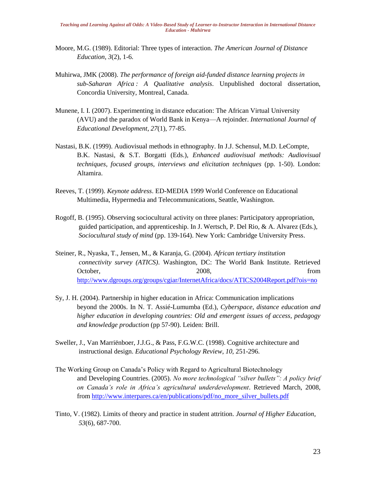- Moore, M.G. (1989). Editorial: Three types of interaction. *The American Journal of Distance Education, 3*(2), 1-6.
- Muhirwa, JMK (2008). *The performance of foreign aid-funded distance learning projects in sub-Saharan Africa : A Qualitative analysis*. Unpublished doctoral dissertation, Concordia University, Montreal, Canada.
- Munene, I. I. (2007). Experimenting in distance education: The African Virtual University (AVU) and the paradox of World Bank in Kenya—A rejoinder. *International Journal of Educational Development*, *27*(1), 77-85.
- Nastasi, B.K. (1999). Audiovisual methods in ethnography. In J.J. Schensul, M.D. LeCompte, B.K. Nastasi, & S.T. Borgatti (Eds.), *Enhanced audiovisual methods: Audiovisual techniques, focused groups, interviews and elicitation techniques* (pp. 1-50). London: Altamira.
- Reeves, T. (1999). *Keynote address*. ED-MEDIA 1999 World Conference on Educational Multimedia, Hypermedia and Telecommunications, Seattle, Washington.
- Rogoff, B. (1995). Observing sociocultural activity on three planes: Participatory appropriation, guided participation, and apprenticeship. In J. Wertsch, P. Del Rio, & A. Alvarez (Eds.), *Sociocultural study of mind* (pp. 139-164). New York: Cambridge University Press.
- Steiner, R., Nyaska, T., Jensen, M., & Karanja, G. (2004). *African tertiary institution connectivity survey (ATICS)*. Washington, DC: The World Bank Institute. Retrieved October, 2008, from <http://www.dgroups.org/groups/cgiar/InternetAfrica/docs/ATICS2004Report.pdf?ois=no>
- Sy, J. H. (2004). Partnership in higher education in Africa: Communication implications beyond the 2000s. In N. T. Assié-Lumumba (Ed.), *Cyberspace, distance education and higher education in developing countries: Old and emergent issues of access, pedagogy and knowledge production* (pp 57-90). Leiden: Brill.
- Sweller, J., Van Marriënboer, J.J.G., & Pass, F.G.W.C. (1998). Cognitive architecture and instructional design. *Educational Psychology Review*, *10*, 251-296.
- The Working Group on Canada's Policy with Regard to Agricultural Biotechnology and Developing Countries. (2005). *No more technological "silver bullets": A policy brief on Canada's role in Africa's agricultural underdevelopment*. Retrieved March, 2008, from [http://www.interpares.ca/en/publications/pdf/no\\_more\\_silver\\_bullets.pdf](http://www.interpares.ca/en/publications/pdf/no_more_silver_bullets.pdf)
- Tinto, V. (1982). Limits of theory and practice in student attrition. *Journal of Higher Education*, *53*(6), 687-700.